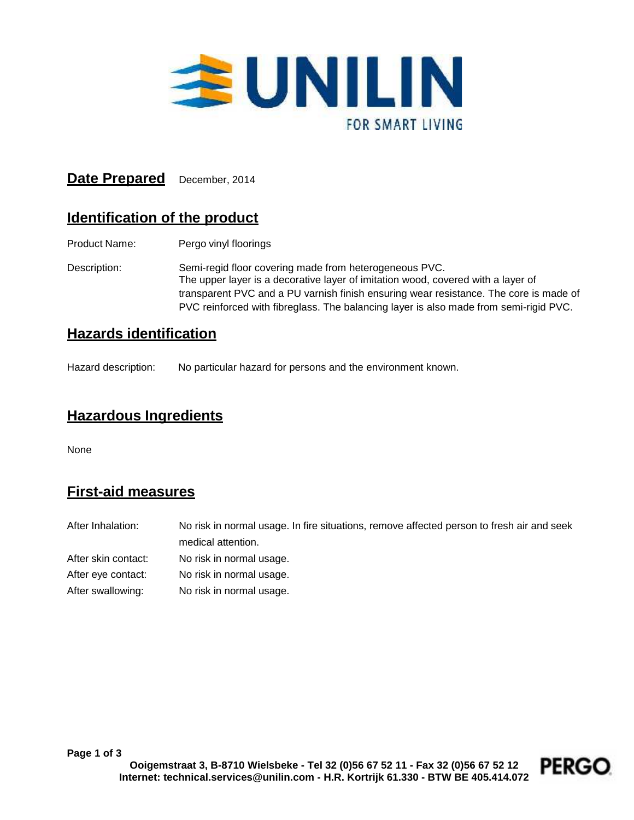

### **Date Prepared** December, 2014

## **Identification of the product**

Product Name: Pergo vinyl floorings

Description: Semi-regid floor covering made from heterogeneous PVC. The upper layer is a decorative layer of imitation wood, covered with a layer of transparent PVC and a PU varnish finish ensuring wear resistance. The core is made of PVC reinforced with fibreglass. The balancing layer is also made from semi-rigid PVC.

#### **Hazards identification**

Hazard description: No particular hazard for persons and the environment known.

#### **Hazardous Ingredients**

None

# **First-aid measures**

| After Inhalation:   | No risk in normal usage. In fire situations, remove affected person to fresh air and seek |
|---------------------|-------------------------------------------------------------------------------------------|
|                     | medical attention.                                                                        |
| After skin contact: | No risk in normal usage.                                                                  |
| After eye contact:  | No risk in normal usage.                                                                  |
| After swallowing:   | No risk in normal usage.                                                                  |

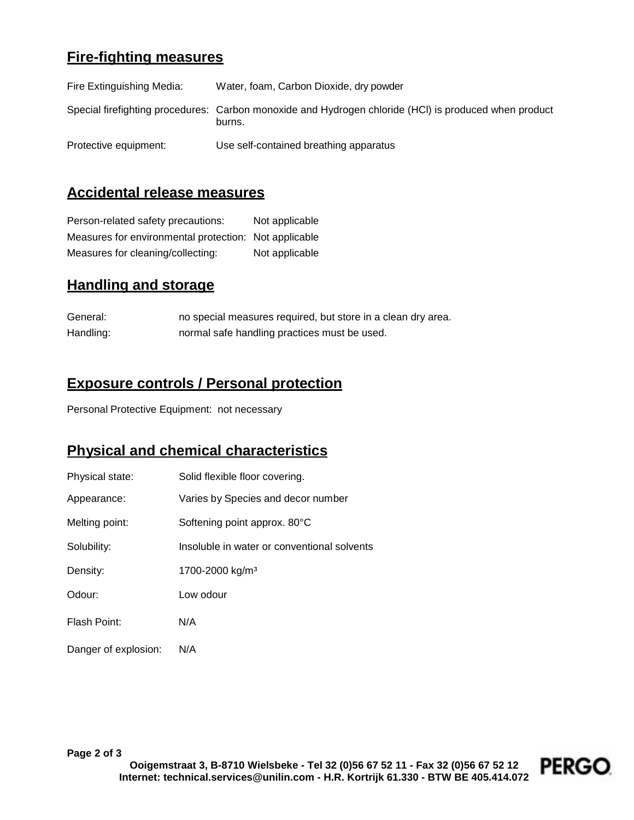### **Fire-fighting measures**

| Fire Extinguishing Media: | Water, foam, Carbon Dioxide, dry powder                                                                         |
|---------------------------|-----------------------------------------------------------------------------------------------------------------|
|                           | Special firefighting procedures: Carbon monoxide and Hydrogen chloride (HCI) is produced when product<br>burns. |
| Protective equipment:     | Use self-contained breathing apparatus                                                                          |

### **Accidental release measures**

Person-related safety precautions: Not applicable Measures for environmental protection: Not applicable Measures for cleaning/collecting: Not applicable

### **Handling and storage**

| General:  | no special measures required, but store in a clean dry area. |
|-----------|--------------------------------------------------------------|
| Handling: | normal safe handling practices must be used.                 |

### **Exposure controls / Personal protection**

Personal Protective Equipment: not necessary

#### **Physical and chemical characteristics**

| Physical state:      | Solid flexible floor covering.              |
|----------------------|---------------------------------------------|
| Appearance:          | Varies by Species and decor number          |
| Melting point:       | Softening point approx. 80°C                |
| Solubility:          | Insoluble in water or conventional solvents |
| Density:             | 1700-2000 kg/m <sup>3</sup>                 |
| Odour:               | Low odour                                   |
| Flash Point:         | N/A                                         |
| Danger of explosion: | N/A                                         |